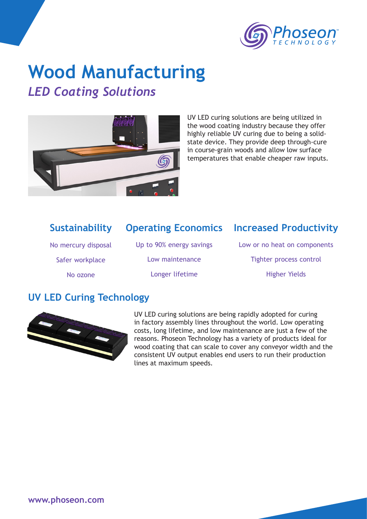

# **Wood Manufacturing**

## *LED Coating Solutions*



UV LED curing solutions are being utilized in the wood coating industry because they offer highly reliable UV curing due to being a solidstate device. They provide deep through-cure in course-grain woods and allow low surface temperatures that enable cheaper raw inputs.

#### **Operating Economics Increased Productivity** Low or no heat on components Tighter process control Higher Yields Up to 90% energy savings Low maintenance Longer lifetime **Sustainability** No mercury disposal Safer workplace No ozone

#### **UV LED Curing Technology**



UV LED curing solutions are being rapidly adopted for curing in factory assembly lines throughout the world. Low operating costs, long lifetime, and low maintenance are just a few of the reasons. Phoseon Technology has a variety of products ideal for wood coating that can scale to cover any conveyor width and the consistent UV output enables end users to run their production lines at maximum speeds.